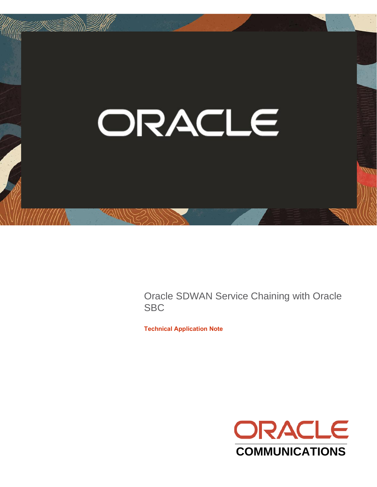

Oracle SDWAN Service Chaining with Oracle **SBC** 

**Technical Application Note**

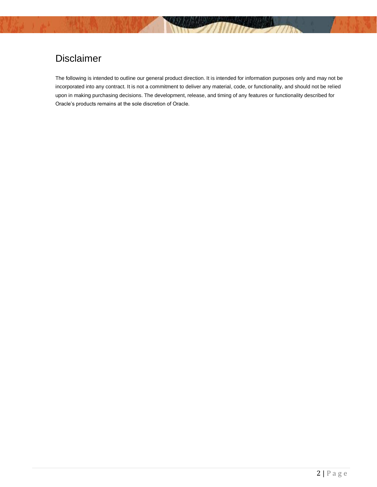# Disclaimer

The following is intended to outline our general product direction. It is intended for information purposes only and may not be incorporated into any contract. It is not a commitment to deliver any material, code, or functionality, and should not be relied upon in making purchasing decisions. The development, release, and timing of any features or functionality described for Oracle's products remains at the sole discretion of Oracle.

 $\frac{1}{2}$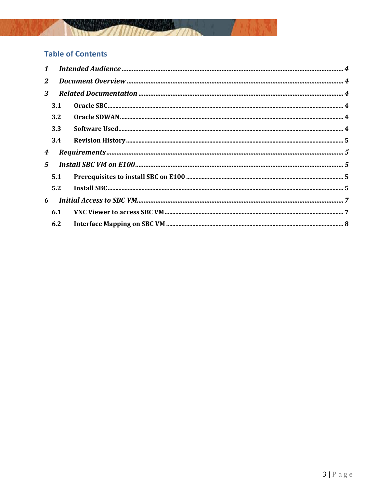

## **Table of Contents**

| $\mathbf{2}$     |             |  |  |  |  |  |
|------------------|-------------|--|--|--|--|--|
| 3 <sup>1</sup>   |             |  |  |  |  |  |
|                  | 3.1         |  |  |  |  |  |
|                  | 3.2         |  |  |  |  |  |
|                  | 3.3         |  |  |  |  |  |
|                  | 3.4         |  |  |  |  |  |
| $\boldsymbol{4}$ |             |  |  |  |  |  |
|                  | $5^{\circ}$ |  |  |  |  |  |
|                  | 5.1         |  |  |  |  |  |
|                  | 5.2         |  |  |  |  |  |
| 6                |             |  |  |  |  |  |
|                  | 6.1         |  |  |  |  |  |
|                  | 6.2         |  |  |  |  |  |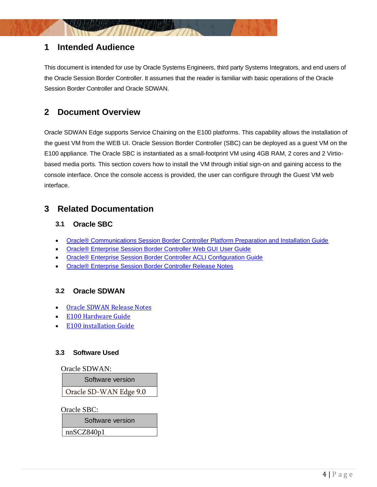## <span id="page-3-0"></span>**1 Intended Audience**

This document is intended for use by Oracle Systems Engineers, third party Systems Integrators, and end users of the Oracle Session Border Controller. It assumes that the reader is familiar with basic operations of the Oracle Session Border Controller and Oracle SDWAN.

## <span id="page-3-1"></span>**2 Document Overview**

Oracle SDWAN Edge supports Service Chaining on the E100 platforms. This capability allows the installation of the guest VM from the WEB UI. Oracle Session Border Controller (SBC) can be deployed as a guest VM on the E100 appliance. The Oracle SBC is instantiated as a small-footprint VM using 4GB RAM, 2 cores and 2 Virtiobased media ports. This section covers how to install the VM through initial sign-on and gaining access to the console interface. Once the console access is provided, the user can configure through the Guest VM web interface.

## <span id="page-3-3"></span><span id="page-3-2"></span>**3 Related Documentation**

### **3.1 Oracle SBC**

- [Oracle® Communications Session Border Controller Platform Preparation and Installation Guide](https://docs.oracle.com/cd/F12246_01/doc/sbc_scz830_installation.pdf)
- [Oracle® Enterprise Session Border Controller Web GUI User Guide](https://docs.oracle.com/cd/F13782_01/doc/esbc_scz830_webgui.pdf)
- [Oracle® Enterprise Session Border Controller ACLI Configuration Guide](https://docs.oracle.com/cd/F13782_01/doc/esbc_scz830_configuration.pdf)
- [Oracle® Enterprise Session Border Controller Release Notes](https://docs.oracle.com/cd/F13782_01/doc/esbc_scz830_releasenotes.pdf)

### <span id="page-3-4"></span>**3.2 Oracle SDWAN**

- [Oracle SDWAN Release Notes](https://docs.oracle.com/en/industries/communications/sd-wan-edge/9.0/releasenotes/Edge90RN.html)
- [E100 Hardware Guide](https://docs.oracle.com/cd/F24329_01/doc/E100_Hardware_Guide.pdf)
- [E100 installation Guide](https://docs.oracle.com/cd/F24329_01/doc/E100_Installation_Guide.pdf)

#### <span id="page-3-5"></span>**3.3 Software Used**

Oracle SDWAN:

Software version

Oracle SD-WAN Edge 9.0

Oracle SBC:

Software version

nnSCZ840p1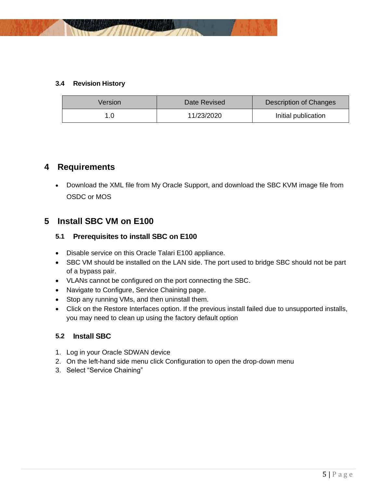

#### <span id="page-4-0"></span>**3.4 Revision History**

| Version | Date Revised | Description of Changes |  |  |
|---------|--------------|------------------------|--|--|
| 1.0     | 11/23/2020   | Initial publication    |  |  |

## <span id="page-4-1"></span>**4 Requirements**

<span id="page-4-2"></span>• Download the XML file from My Oracle Support, and download the SBC KVM image file from OSDC or MOS

## <span id="page-4-3"></span>**5 Install SBC VM on E100**

## **5.1 Prerequisites to install SBC on E100**

- Disable service on this Oracle Talari E100 appliance.
- SBC VM should be installed on the LAN side. The port used to bridge SBC should not be part of a bypass pair.
- VLANs cannot be configured on the port connecting the SBC.
- Navigate to Configure, Service Chaining page.
- Stop any running VMs, and then uninstall them.
- Click on the Restore Interfaces option. If the previous install failed due to unsupported installs, you may need to clean up using the factory default option

### <span id="page-4-4"></span>**5.2 Install SBC**

- 1. Log in your Oracle SDWAN device
- 2. On the left-hand side menu click Configuration to open the drop-down menu
- 3. Select "Service Chaining"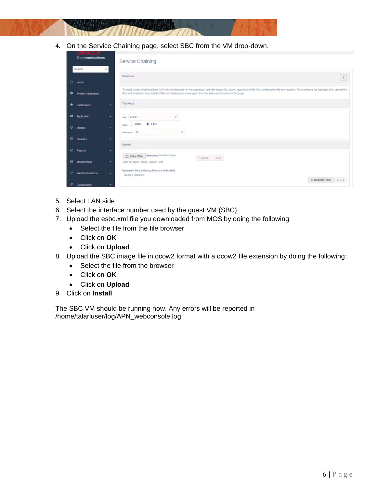4. On the Service Chaining page, select SBC from the VM drop-down.

| <u>i sa jedno ka in </u><br>Communications |                           |   | <b>Service Chaining</b>                                                                                                                                                                                                                                                                                                    |  |  |
|--------------------------------------------|---------------------------|---|----------------------------------------------------------------------------------------------------------------------------------------------------------------------------------------------------------------------------------------------------------------------------------------------------------------------------|--|--|
|                                            | Search                    | × | Overview<br>$\sqrt{2}$                                                                                                                                                                                                                                                                                                     |  |  |
| $\mathbf{r}$                               | Home                      |   |                                                                                                                                                                                                                                                                                                                            |  |  |
| $\bullet$                                  | <b>System Information</b> |   | To install a new virtual machine (VM) into the data-path of the appliance, both the image file (.gcow, .gcow2) and the XML configuration file are required. First configure the topology, then upload the<br>files for installation. Any installed VMs are displayed and managed from the table at the bottom of the page. |  |  |
| *                                          | <b>Dashboards</b>         | × | Topology                                                                                                                                                                                                                                                                                                                   |  |  |
| $\blacksquare$                             | <b>Application</b>        | ٠ | <b>ESBC</b><br>VM:<br>v                                                                                                                                                                                                                                                                                                    |  |  |
| ₽                                          | Monitor                   | ٠ | <b>O</b> LAN<br>WAN<br>side:<br>Interface: 3<br>$\scriptstyle\rm w$                                                                                                                                                                                                                                                        |  |  |
| ▥                                          | <b>Statistics</b>         | ٠ | Upload                                                                                                                                                                                                                                                                                                                     |  |  |
| K                                          | <b>Reports</b>            | ٠ | Selection: No file chosen<br><b>t Select File</b><br>Upload Clear                                                                                                                                                                                                                                                          |  |  |
| 圈                                          | Troubleshoot              | ٠ | Valid file types: . gcow, . gcow2, .xml                                                                                                                                                                                                                                                                                    |  |  |
| $\rightarrow$                              | <b>WAN Optimization</b>   | ٠ | Uploaded files:(missing files are indicated)<br>No files uploaded<br><b>U</b> Refresh Files                                                                                                                                                                                                                                |  |  |
|                                            | Configuration             | ۰ | Install                                                                                                                                                                                                                                                                                                                    |  |  |

- 5. Select LAN side
- 6. Select the interface number used by the guest VM (SBC)
- 7. Upload the esbc.xml file you downloaded from MOS by doing the following:
	- Select the file from the file browser
	- Click on **OK**
	- Click on **Upload**
- 8. Upload the SBC image file in qcow2 format with a qcow2 file extension by doing the following:
	- Select the file from the browser
	- Click on **OK**
	- Click on **Upload**
- 9. Click on **Install**

The SBC VM should be running now. Any errors will be reported in /home/talariuser/log/APN\_webconsole.log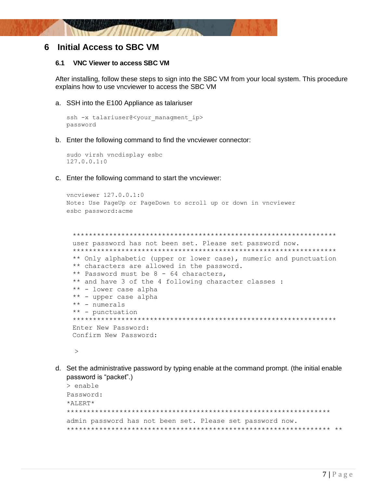

## <span id="page-6-1"></span><span id="page-6-0"></span>6 Initial Access to SBC VM

#### $6.1$ **VNC Viewer to access SBC VM**

After installing, follow these steps to sign into the SBC VM from your local system. This procedure explains how to use vncviewer to access the SBC VM

a. SSH into the E100 Appliance as talariuser

```
ssh -x talariuser@<your managment ip>
password
```
b. Enter the following command to find the vncviewer connector:

```
sudo virsh vncdisplay esbc
127.0.0.1:0
```
c. Enter the following command to start the vncviewer:

```
vncviewer 127.0.0.1:0
Note: Use PageUp or PageDown to scroll up or down in vncviewer
esbc password: acme
```

```
user password has not been set. Please set password now.
** Only alphabetic (upper or lower case), numeric and punctuation
** characters are allowed in the password.
** Password must be 8 - 64 characters,
** and have 3 of the 4 following character classes :
** - lower case alpha
** - upper case alpha
** - numerals
** - punctuation
Enter New Password:
Confirm New Password:
```

```
\geq
```
d. Set the administrative password by typing enable at the command prompt. (the initial enable password is "packet".)

```
> enable
Password:
*ALERT*admin password has not been set. Please set password now.
```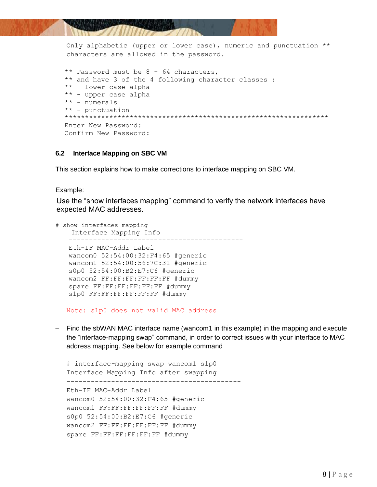

Only alphabetic (upper or lower case), numeric and punctuation \*\* characters are allowed in the password.

```
 ** Password must be 8 - 64 characters,
 ** and have 3 of the 4 following character classes :
 ** - lower case alpha
 ** - upper case alpha
 ** - numerals
 ** - punctuation
 *****************************************************************
 Enter New Password:
 Confirm New Password:
```
#### <span id="page-7-0"></span>**6.2 Interface Mapping on SBC VM**

This section explains how to make corrections to interface mapping on SBC VM.

#### Example:

 Use the "show interfaces mapping" command to verify the network interfaces have expected MAC addresses.

```
 # show interfaces mapping
    Interface Mapping Info 
    -------------------------------------------
    Eth-IF MAC-Addr Label 
    wancom0 52:54:00:32:F4:65 #generic 
    wancom1 52:54:00:56:7C:31 #generic 
    s0p0 52:54:00:B2:E7:C6 #generic 
    wancom2 FF:FF:FF:FF:FF:FF #dummy 
    spare FF:FF:FF:FF:FF:FF #dummy 
    s1p0 FF:FF:FF:FF:FF:FF #dummy
```
Note: s1p0 does not valid MAC address

– Find the sbWAN MAC interface name (wancom1 in this example) in the mapping and execute the "interface-mapping swap" command, in order to correct issues with your interface to MAC address mapping. See below for example command

```
# interface-mapping swap wancom1 s1p0
Interface Mapping Info after swapping 
-------------------------------------------
Eth-IF MAC-Addr Label 
wancom0 52:54:00:32:F4:65 #generic 
wancom1 FF:FF:FF:FF:FF:FF #dummy 
s0p0 52:54:00:B2:E7:C6 #generic 
wancom2 FF:FF:FF:FF:FF:FF #dummy 
spare FF:FF:FF:FF:FF:FF #dummy
```